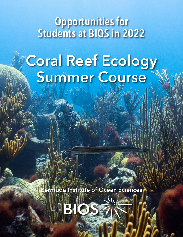# Opportunities for Students at BIOS in 2022

# Coral Reef Ecology Summer Course

Bermuda Institute of Ocean Sciences

HB (C)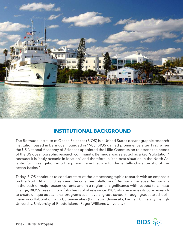

# **INSTITUTIONAL BACKGROUND**

The Bermuda Institute of Ocean Sciences (BIOS) is a United States oceanographic research institution based in Bermuda. Founded in 1903, BIOS gained prominence after 1927 when the US National Academy of Sciences appointed the Lillie Commission to assess the needs of the US oceanographic research community. Bermuda was selected as a key "substation" because it is "truly oceanic in location" and therefore in "the best situation in the North Atlantic for investigation into the phenomena that are fundamentally characteristic of the ocean basins."

Today, BIOS continues to conduct state-of-the-art oceanographic research with an emphasis on the North Atlantic Ocean and the coral reef platform of Bermuda. Because Bermuda is in the path of major ocean currents and in a region of significance with respect to climate change, BIOS's research portfolio has global relevance. BIOS also leverages its core research to create unique educational programs at all levels—grade school through graduate school many in collaboration with US universities (Princeton University, Furman University, Lehigh University, University of Rhode Island, Roger Williams University).

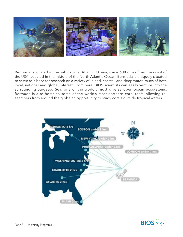

Bermuda is located in the sub-tropical Atlantic Ocean, some 600 miles from the coast of the USA. Located in the middle of the North Atlantic Ocean, Bermuda is uniquely situated to serve as a base for research on a variety of inland, coastal, and deep water issues of both local, national and global interest. From here, BIOS scientists can easily venture into the surrounding Sargasso Sea, one of the world's most diverse open-ocean ecosystems. Bermuda is also home to some of the world's most northern coral reefs, allowing researchers from around the globe an opportunity to study corals outside tropical waters.



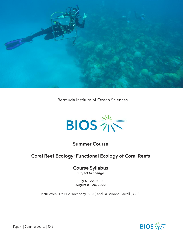

Bermuda Institute of Ocean Sciences



### Summer Course

## Coral Reef Ecology: Functional Ecology of Coral Reefs

Course Syllabus *subject to change*

July 4 – 22, 2022 August 8 – 26, 2022

Instructors: Dr. Eric Hochberg (BIOS) and Dr. Yvonne Sawall (BIOS)

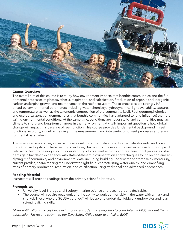

#### **Course Overview**

The overall aim of this course is to study how environment impacts reef benthic communities and the fundamental processes of photosynthesis, respiration, and calcification. Production of organic and inorganic carbon underpins growth and maintenance of the reef ecosystem. These processes are strongly influenced by environmental parameters including water chemistry, hydrodynamics, light availability/capture, and temperature, as well as the taxonomic composition of the community itself. Reef geomorphological and ecological zonation demonstrates that benthic communities have adapted to (and influence) their prevailing environmental conditions. At the same time, conditions are never static, and communities must acclimate to short- and long-term changes in their environment. A vitally important question is how global change will impact this baseline of reef function. This course provides fundamental background in reef functional ecology, as well as training in the measurement and interpretation of reef processes and environmental parameters.

This is an intensive course, aimed at upper-level undergraduate students, graduate students, and postdocs. Course logistics include readings, lectures, discussions, presentations, and extensive laboratory and field work. Next to gaining a solid understanding of coral reef ecology and reef functional processes, students gain hands-on experience with state-of-the-art instrumentation and techniques for collecting and analyzing reef community and environmental data, including building underwater photomosaics, measuring current profiles, characterizing the underwater light field, characterizing water quality, and quantifying rates of primary production, respiration, and calcification using traditional and advanced approaches.

#### **Reading Material**

Instructors will provide readings from the primary scientific literature.

#### **Prerequisites**

- University-level Biology and Ecology; marine science and oceanography desirable.
- The course will require boat work and the ability to work comfortably in the water with a mask and snorkel. Those who are SCUBA certified\* will be able to undertake fieldwork underwater and learn scientific diving skills.

*\*After notification of acceptance in this course, students are required to complete the BIOS Student Diving Information Packet and submit to our Dive Safety Office prior to arrival at BIOS.*

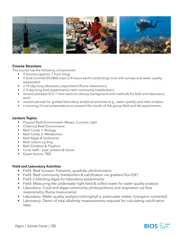

#### **Course Structure**

The course has the following components:

- 9 lectures (approx. 1 hour long),
- 9 boat (snorkel/SCUBA) trips (3-4 hours each) conducting coral reef surveys and water quality assessment
- a 10-day-long laboratory experiment (flume mesocosm),
- 2 3-day-long field experiments (reef community metabolism)
- several precepts (0.5-1 hour each) to discuss background and methods for field and laboratory work,
- several periods for guided laboratory analytical activities (e.g., water quality) and data analysis,
- a morning of oral presentations to present the results of the group field and lab experiments.

#### **Lecture Topics**

- Physical Reef Environment—Waves, Currents, light
- Chemical Reef Environment
- Reef Corals 1—Biology
- Reef Corals 2—Metabolism
- Reef Algae & Sediments
- Reef carbon cycling
- Reef Zonation & Trophics
- Coral reefs past, present & future
- Guest lecture: TBD

#### **Field and Laboratory Activities**

- Field: Reef surveys—Transects, quadrats, photomosaics
- Field: Reef community metabolism & calcification via gradient flux (GF)
- Field: Collecting algae for laboratory experiments
- Field: Measuring the underwater light field & collect water for water quality analysis
- Laboratory: Coral and algae community photosynthesis and respiration via flow respirometry (flume mesocosms)
- Laboratory: Water quality analysis (chlorophyll-a, particulate matter, [inorganic nutrients])
- Laboratory: Demo of total alkalinity measurements required for calculating calcification rates